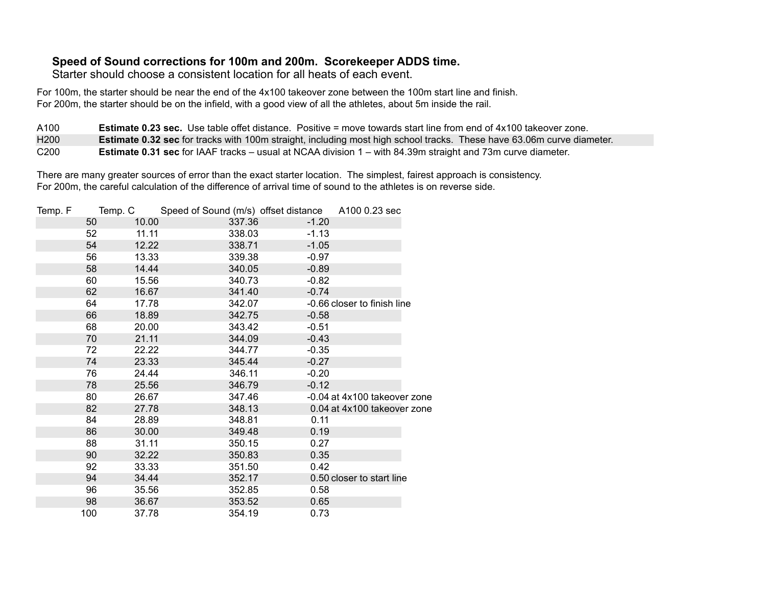## **Speed of Sound corrections for 100m and 200m. Scorekeeper ADDS time.**

Starter should choose a consistent location for all heats of each event.

For 100m, the starter should be near the end of the 4x100 takeover zone between the 100m start line and finish. For 200m, the starter should be on the infield, with a good view of all the athletes, about 5m inside the rail.

A100 H200 C200 **Estimate 0.23 sec.** Use table offet distance. Positive = move towards start line from end of 4x100 takeover zone. **Estimate 0.32 sec** for tracks with 100m straight, including most high school tracks. These have 63.06m curve diameter. **Estimate 0.31 sec** for IAAF tracks – usual at NCAA division 1 – with 84.39m straight and 73m curve diameter.

There are many greater sources of error than the exact starter location. The simplest, fairest approach is consistency. For 200m, the careful calculation of the difference of arrival time of sound to the athletes is on reverse side.

| A100 0.23 sec                |
|------------------------------|
|                              |
|                              |
|                              |
|                              |
|                              |
|                              |
|                              |
| -0.66 closer to finish line  |
|                              |
|                              |
|                              |
|                              |
|                              |
|                              |
|                              |
| -0.04 at 4x100 takeover zone |
| 0.04 at 4x100 takeover zone  |
|                              |
|                              |
|                              |
|                              |
|                              |
| 0.50 closer to start line    |
|                              |
|                              |
|                              |
|                              |